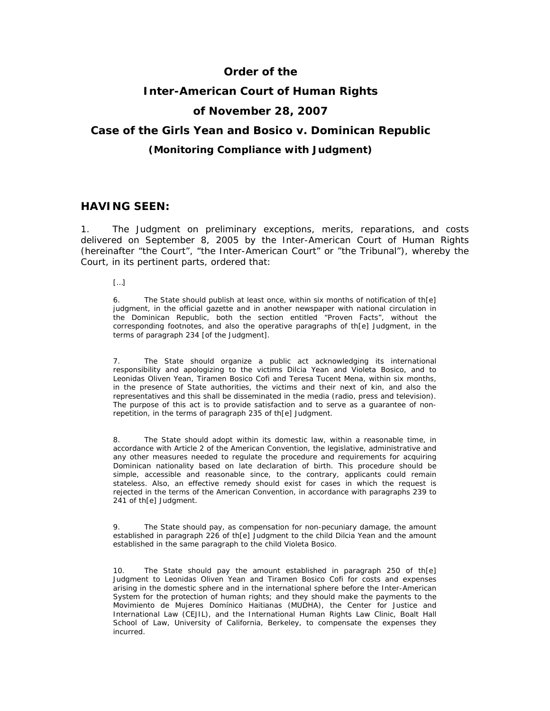# **Order of the**

# **Inter-American Court of Human Rights**

# **of November 28, 2007**

# **Case of the Girls Yean and Bosico** *v.* **Dominican Republic**

## *(Monitoring Compliance with Judgment)*

## **HAVING SEEN:**

1. The Judgment on preliminary exceptions, merits, reparations, and costs delivered on September 8, 2005 by the Inter-American Court of Human Rights (hereinafter "the Court", "the Inter-American Court" or "the Tribunal"), whereby the Court, in its pertinent parts, ordered that:

[…]

6. The State should publish at least once, within six months of notification of th[e] judgment, in the official gazette and in another newspaper with national circulation in the Dominican Republic, both the section entitled "Proven Facts", without the corresponding footnotes, and also the operative paragraphs of th[e] Judgment, in the terms of paragraph 234 [of the Judgment].

7. The State should organize a public act acknowledging its international responsibility and apologizing to the victims Dilcia Yean and Violeta Bosico, and to Leonidas Oliven Yean, Tiramen Bosico Cofi and Teresa Tucent Mena, within six months, in the presence of State authorities, the victims and their next of kin, and also the representatives and this shall be disseminated in the media (radio, press and television). The purpose of this act is to provide satisfaction and to serve as a guarantee of nonrepetition, in the terms of paragraph 235 of th[e] Judgment.

8. The State should adopt within its domestic law, within a reasonable time, in accordance with Article 2 of the American Convention, the legislative, administrative and any other measures needed to regulate the procedure and requirements for acquiring Dominican nationality based on late declaration of birth. This procedure should be simple, accessible and reasonable since, to the contrary, applicants could remain stateless. Also, an effective remedy should exist for cases in which the request is rejected in the terms of the American Convention, in accordance with paragraphs 239 to 241 of th[e] Judgment.

9. The State should pay, as compensation for non-pecuniary damage, the amount established in paragraph 226 of th[e] Judgment to the child Dilcia Yean and the amount established in the same paragraph to the child Violeta Bosico.

10. The State should pay the amount established in paragraph 250 of th[e] Judgment to Leonidas Oliven Yean and Tiramen Bosico Cofi for costs and expenses arising in the domestic sphere and in the international sphere before the Inter-American System for the protection of human rights; and they should make the payments to the *Movimiento de Mujeres Domínico Haitianas* (MUDHA), the Center for Justice and International Law (CEJIL), and the International Human Rights Law Clinic, Boalt Hall School of Law, University of California, Berkeley, to compensate the expenses they incurred.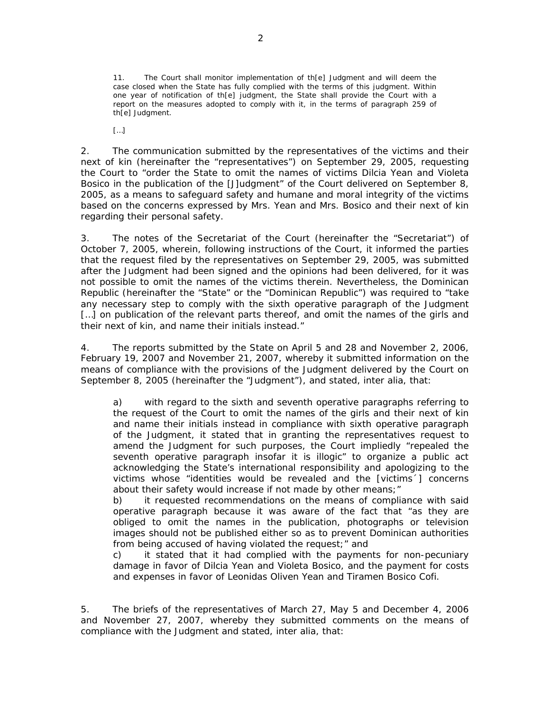11. The Court shall monitor implementation of th[e] Judgment and will deem the case closed when the State has fully complied with the terms of this judgment. Within one year of notification of th[e] judgment, the State shall provide the Court with a report on the measures adopted to comply with it, in the terms of paragraph 259 of th[e] Judgment.

 $\left[\ldots\right]$ 

2. The communication submitted by the representatives of the victims and their next of kin (hereinafter the "representatives") on September 29, 2005, requesting the Court to "order the State to omit the names of victims Dilcia Yean and Violeta Bosico in the publication of the [J]udgment" of the Court delivered on September 8, 2005, as a means to safeguard safety and humane and moral integrity of the victims based on the concerns expressed by Mrs. Yean and Mrs. Bosico and their next of kin regarding their personal safety.

3. The notes of the Secretariat of the Court (hereinafter the "Secretariat") of October 7, 2005, wherein, following instructions of the Court, it informed the parties that the request filed by the representatives on September 29, 2005, was submitted after the Judgment had been signed and the opinions had been delivered, for it was not possible to omit the names of the victims therein. Nevertheless, the Dominican Republic (hereinafter the "State" or the "Dominican Republic") was required to "take any necessary step to comply with the sixth operative paragraph of the Judgment [...] on publication of the relevant parts thereof, and omit the names of the girls and their next of kin, and name their initials instead."

4. The reports submitted by the State on April 5 and 28 and November 2, 2006, February 19, 2007 and November 21, 2007, whereby it submitted information on the means of compliance with the provisions of the Judgment delivered by the Court on September 8, 2005 (hereinafter the "Judgment"), and stated, *inter alia*, that:

a) with regard to the sixth and seventh operative paragraphs referring to the request of the Court to omit the names of the girls and their next of kin and name their initials instead in compliance with sixth operative paragraph of the Judgment, it stated that in granting the representatives request to amend the Judgment for such purposes, the Court impliedly "repealed the seventh operative paragraph insofar it is illogic" to organize a public act acknowledging the State's international responsibility and apologizing to the victims whose "identities would be revealed and the [victims´] concerns about their safety would increase if not made by other means;"

b) it requested recommendations on the means of compliance with said operative paragraph because it was aware of the fact that "as they are obliged to omit the names in the publication, photographs or television images should not be published either so as to prevent Dominican authorities from being accused of having violated the request;" and

c) it stated that it had complied with the payments for non-pecuniary damage in favor of Dilcia Yean and Violeta Bosico, and the payment for costs and expenses in favor of Leonidas Oliven Yean and Tiramen Bosico Cofi.

5. The briefs of the representatives of March 27, May 5 and December 4, 2006 and November 27, 2007, whereby they submitted comments on the means of compliance with the Judgment and stated, *inter alia*, that: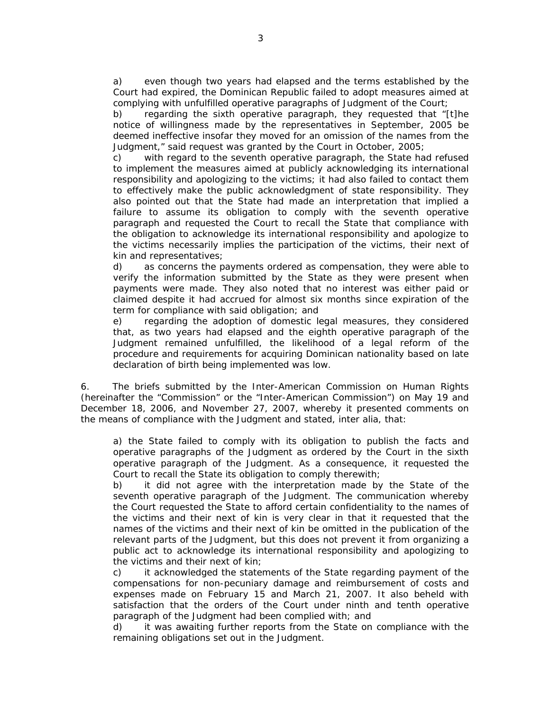a) even though two years had elapsed and the terms established by the Court had expired, the Dominican Republic failed to adopt measures aimed at complying with unfulfilled operative paragraphs of Judgment of the Court;

b) regarding the sixth operative paragraph, they requested that "[t]he notice of willingness made by the representatives in September, 2005 be deemed ineffective insofar they moved for an omission of the names from the Judgment," said request was granted by the Court in October, 2005;

c) with regard to the seventh operative paragraph, the State had refused to implement the measures aimed at publicly acknowledging its international responsibility and apologizing to the victims; it had also failed to contact them to effectively make the public acknowledgment of state responsibility. They also pointed out that the State had made an interpretation that implied a failure to assume its obligation to comply with the seventh operative paragraph and requested the Court to recall the State that compliance with the obligation to acknowledge its international responsibility and apologize to the victims necessarily implies the participation of the victims, their next of kin and representatives;

d) as concerns the payments ordered as compensation, they were able to verify the information submitted by the State as they were present when payments were made. They also noted that no interest was either paid or claimed despite it had accrued for almost six months since expiration of the term for compliance with said obligation; and

e) regarding the adoption of domestic legal measures, they considered that, as two years had elapsed and the eighth operative paragraph of the Judgment remained unfulfilled, the likelihood of a legal reform of the procedure and requirements for acquiring Dominican nationality based on late declaration of birth being implemented was low.

6. The briefs submitted by the Inter-American Commission on Human Rights (hereinafter the "Commission" or the "Inter-American Commission") on May 19 and December 18, 2006, and November 27, 2007, whereby it presented comments on the means of compliance with the Judgment and stated, *inter alia*, that:

a) the State failed to comply with its obligation to publish the facts and operative paragraphs of the Judgment as ordered by the Court in the sixth operative paragraph of the Judgment. As a consequence, it requested the Court to recall the State its obligation to comply therewith;

b) it did not agree with the interpretation made by the State of the seventh operative paragraph of the Judgment. The communication whereby the Court requested the State to afford certain confidentiality to the names of the victims and their next of kin is very clear in that it requested that the names of the victims and their next of kin be omitted in the publication of the relevant parts of the Judgment, but this does not prevent it from organizing a public act to acknowledge its international responsibility and apologizing to the victims and their next of kin;

c) it acknowledged the statements of the State regarding payment of the compensations for non-pecuniary damage and reimbursement of costs and expenses made on February 15 and March 21, 2007. It also beheld with satisfaction that the orders of the Court under ninth and tenth operative paragraph of the Judgment had been complied with; and

d) it was awaiting further reports from the State on compliance with the remaining obligations set out in the Judgment.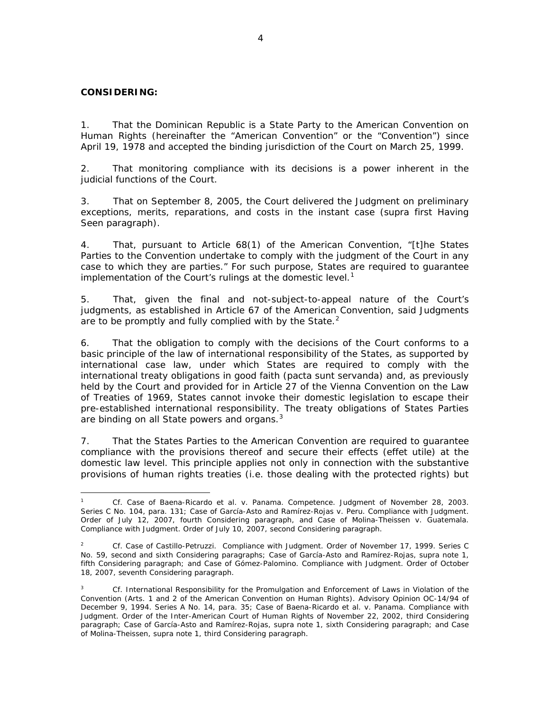#### **CONSIDERING:**

1. That the Dominican Republic is a State Party to the American Convention on Human Rights (hereinafter the "American Convention" or the "Convention") since April 19, 1978 and accepted the binding jurisdiction of the Court on March 25, 1999.

2. That monitoring compliance with its decisions is a power inherent in the judicial functions of the Court.

3. That on September 8, 2005, the Court delivered the Judgment on preliminary exceptions, merits, reparations, and costs in the instant case (*supra* first Having Seen paragraph).

4. That, pursuant to Article 68(1) of the American Convention, "[t]he States Parties to the Convention undertake to comply with the judgment of the Court in any case to which they are parties." For such purpose, States are required to guarantee implementation of the Court's rulings at the domestic level.<sup>[1](#page-3-0)</sup>

5. That, given the final and not-subject-to-appeal nature of the Court's judgments, as established in Article 67 of the American Convention, said Judgments are to be promptly and fully complied with by the State. $2$ 

6. That the obligation to comply with the decisions of the Court conforms to a basic principle of the law of international responsibility of the States, as supported by international case law, under which States are required to comply with the international treaty obligations in good faith *(pacta sunt servanda)* and, as previously held by the Court and provided for in Article 27 of the Vienna Convention on the Law of Treaties of 1969, States cannot invoke their domestic legislation to escape their pre-established international responsibility. The treaty obligations of States Parties are binding on all State powers and organs.<sup>[3](#page-3-2)</sup>

7. That the States Parties to the American Convention are required to guarantee compliance with the provisions thereof and secure their effects (*effet utile*) at the domestic law level. This principle applies not only in connection with the substantive provisions of human rights treaties (i.e. those dealing with the protected rights) but

<span id="page-3-0"></span> $\overline{a}$ <sup>1</sup> *Cf. Case of Baena-Ricardo et al. v. Panama*. *Competence*. Judgment of November 28, 2003. Series C No. 104, para. 131; *Case of García-Asto and Ramírez-Rojas v. Peru*. *Compliance with Judgment*. Order of July 12, 2007, fourth Considering paragraph, and *Case of Molina-Theissen v. Guatemala*. *Compliance with Judgment*. Order of July 10, 2007, second Considering paragraph.

<span id="page-3-1"></span><sup>2</sup>  *Cf. Case of Castillo-Petruzzi*. *Compliance with Judgment*. Order of November 17, 1999. Series C No. 59, second and sixth Considering paragraphs; *Case of García-Asto and Ramírez-Rojas*, *supra* note 1, fifth Considering paragraph; and *Case of Gómez-Palomino. Compliance with Judgment. Order of October*  18, 2007, seventh Considering paragraph.

<span id="page-3-2"></span><sup>3</sup> *Cf.* International Responsibility for the Promulgation and Enforcement of Laws in Violation of the Convention (Arts. 1 and 2 of the American Convention on Human Rights). Advisory Opinion OC-14/94 of December 9, 1994. Series A No. 14, para. 35; *Case of Baena-Ricardo et al. v. Panama. Compliance with Judgment*. Order of the Inter-American Court of Human Rights of November 22, 2002, third Considering paragraph; *Case of García-Asto and Ramírez-Rojas, supra* note 1, sixth Considering paragraph; and *Case of Molina-Theissen, supra* note 1, third Considering paragraph.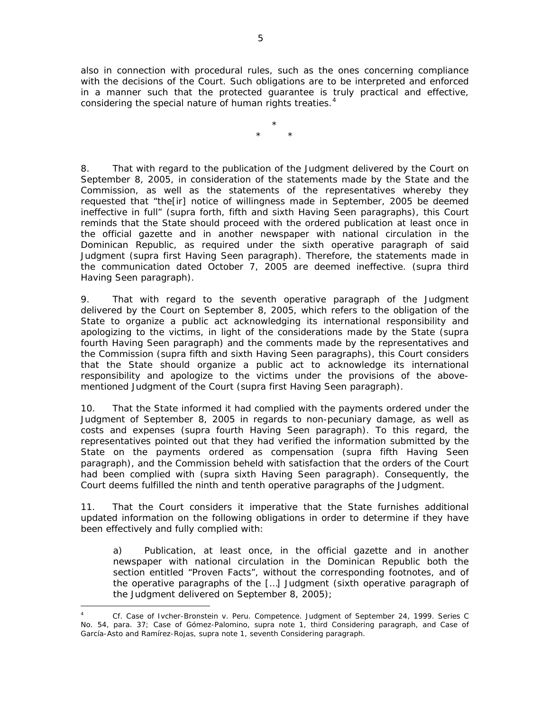also in connection with procedural rules, such as the ones concerning compliance with the decisions of the Court. Such obligations are to be interpreted and enforced in a manner such that the protected guarantee is truly practical and effective, considering the special nature of human rights treaties.<sup>[4](#page-4-0)</sup>

> \* \* \*

8. That with regard to the publication of the Judgment delivered by the Court on September 8, 2005, in consideration of the statements made by the State and the Commission, as well as the statements of the representatives whereby they requested that "the[ir] notice of willingness made in September, 2005 be deemed ineffective in full" (*supra* forth, fifth and sixth Having Seen paragraphs), this Court reminds that the State should proceed with the ordered publication at least once in the official gazette and in another newspaper with national circulation in the Dominican Republic, as required under the sixth operative paragraph of said Judgment (*supra* first Having Seen paragraph). Therefore, the statements made in the communication dated October 7, 2005 are deemed ineffective. (*supra* third Having Seen paragraph).

9. That with regard to the seventh operative paragraph of the Judgment delivered by the Court on September 8, 2005, which refers to the obligation of the State to organize a public act acknowledging its international responsibility and apologizing to the victims, in light of the considerations made by the State (*supra*  fourth Having Seen paragraph) and the comments made by the representatives and the Commission (*supra* fifth and sixth Having Seen paragraphs), this Court considers that the State should organize a public act to acknowledge its international responsibility and apologize to the victims under the provisions of the abovementioned Judgment of the Court (*supra* first Having Seen paragraph).

10. That the State informed it had complied with the payments ordered under the Judgment of September 8, 2005 in regards to non-pecuniary damage, as well as costs and expenses (*supra* fourth Having Seen paragraph). To this regard, the representatives pointed out that they had verified the information submitted by the State on the payments ordered as compensation (*supra* fifth Having Seen paragraph), and the Commission beheld with satisfaction that the orders of the Court had been complied with (*supra* sixth Having Seen paragraph). Consequently, the Court deems fulfilled the ninth and tenth operative paragraphs of the Judgment.

11. That the Court considers it imperative that the State furnishes additional updated information on the following obligations in order to determine if they have been effectively and fully complied with:

a) Publication, at least once, in the official gazette and in another newspaper with national circulation in the Dominican Republic both the section entitled "Proven Facts", without the corresponding footnotes, and of the operative paragraphs of the […] Judgment (*sixth operative paragraph of the Judgment delivered on September 8, 2005*);

 $\overline{a}$ 

<span id="page-4-0"></span><sup>4</sup> *Cf. Case of Ivcher-Bronstein v. Peru*. Competence. Judgment of September 24, 1999. Series C No. 54, para. 37; *Case of Gómez-Palomino, supra note 1*, third Considering paragraph, and *Case of García-Asto and Ramírez-Rojas, supra* note 1, seventh Considering paragraph.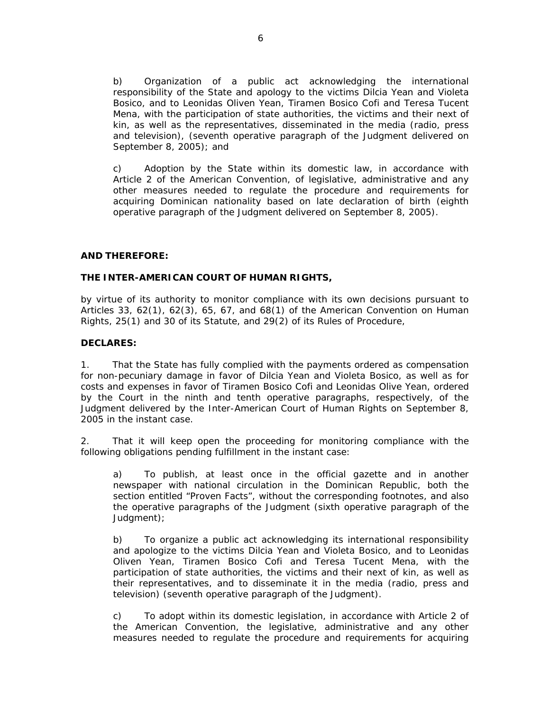b) Organization of a public act acknowledging the international responsibility of the State and apology to the victims Dilcia Yean and Violeta Bosico, and to Leonidas Oliven Yean, Tiramen Bosico Cofi and Teresa Tucent Mena, with the participation of state authorities, the victims and their next of kin, as well as the representatives, disseminated in the media (radio, press and television), (*seventh operative paragraph of the Judgment delivered on September 8, 2005*); and

c) Adoption by the State within its domestic law, in accordance with Article 2 of the American Convention, of legislative, administrative and any other measures needed to regulate the procedure and requirements for acquiring Dominican nationality based on late declaration of birth (*eighth operative paragraph of the Judgment delivered on September 8, 2005*).

## **AND THEREFORE:**

## **THE INTER-AMERICAN COURT OF HUMAN RIGHTS,**

by virtue of its authority to monitor compliance with its own decisions pursuant to Articles 33,  $62(1)$ ,  $62(3)$ ,  $65$ ,  $67$ , and  $68(1)$  of the American Convention on Human Rights, 25(1) and 30 of its Statute, and 29(2) of its Rules of Procedure,

## **DECLARES:**

1. That the State has fully complied with the payments ordered as compensation for non-pecuniary damage in favor of Dilcia Yean and Violeta Bosico, as well as for costs and expenses in favor of Tiramen Bosico Cofi and Leonidas Olive Yean, ordered by the Court in the ninth and tenth operative paragraphs, respectively, of the Judgment delivered by the Inter-American Court of Human Rights on September 8, 2005 in the instant case.

2. That it will keep open the proceeding for monitoring compliance with the following obligations pending fulfillment in the instant case:

a) To publish, at least once in the official gazette and in another newspaper with national circulation in the Dominican Republic, both the section entitled "Proven Facts", without the corresponding footnotes, and also the operative paragraphs of the Judgment *(sixth operative paragraph of the Judgment)*;

b) To organize a public act acknowledging its international responsibility and apologize to the victims Dilcia Yean and Violeta Bosico, and to Leonidas Oliven Yean, Tiramen Bosico Cofi and Teresa Tucent Mena, with the participation of state authorities, the victims and their next of kin, as well as their representatives, and to disseminate it in the media (radio, press and television) (*seventh operative paragraph of the Judgment)*.

c) To adopt within its domestic legislation, in accordance with Article 2 of the American Convention, the legislative, administrative and any other measures needed to regulate the procedure and requirements for acquiring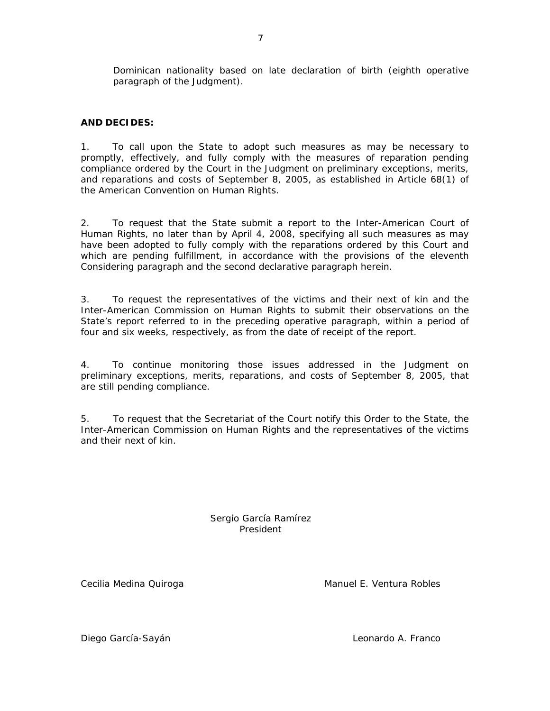Dominican nationality based on late declaration of birth (*eighth operative paragraph of the Judgment)*.

## **AND DECIDES:**

1. To call upon the State to adopt such measures as may be necessary to promptly, effectively, and fully comply with the measures of reparation pending compliance ordered by the Court in the Judgment on preliminary exceptions, merits, and reparations and costs of September 8, 2005, as established in Article 68(1) of the American Convention on Human Rights.

2. To request that the State submit a report to the Inter-American Court of Human Rights, no later than by April 4, 2008, specifying all such measures as may have been adopted to fully comply with the reparations ordered by this Court and which are pending fulfillment, in accordance with the provisions of the eleventh Considering paragraph and the second declarative paragraph herein.

3. To request the representatives of the victims and their next of kin and the Inter-American Commission on Human Rights to submit their observations on the State's report referred to in the preceding operative paragraph, within a period of four and six weeks, respectively, as from the date of receipt of the report.

4. To continue monitoring those issues addressed in the Judgment on preliminary exceptions, merits, reparations, and costs of September 8, 2005, that are still pending compliance.

5. To request that the Secretariat of the Court notify this Order to the State, the Inter-American Commission on Human Rights and the representatives of the victims and their next of kin.

> Sergio García Ramírez President

Cecilia Medina Quiroga **Manuel E. Ventura Robles** Manuel E. Ventura Robles

Diego García-Sayán Leonardo A. Franco